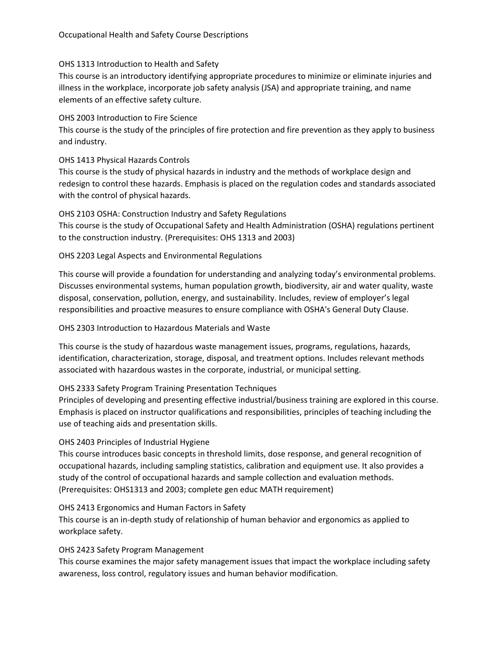### OHS 1313 Introduction to Health and Safety

This course is an introductory identifying appropriate procedures to minimize or eliminate injuries and illness in the workplace, incorporate job safety analysis (JSA) and appropriate training, and name elements of an effective safety culture.

#### OHS 2003 Introduction to Fire Science

This course is the study of the principles of fire protection and fire prevention as they apply to business and industry.

#### OHS 1413 Physical Hazards Controls

This course is the study of physical hazards in industry and the methods of workplace design and redesign to control these hazards. Emphasis is placed on the regulation codes and standards associated with the control of physical hazards.

## OHS 2103 OSHA: Construction Industry and Safety Regulations This course is the study of Occupational Safety and Health Administration (OSHA) regulations pertinent to the construction industry. (Prerequisites: OHS 1313 and 2003)

### OHS 2203 Legal Aspects and Environmental Regulations

This course will provide a foundation for understanding and analyzing today's environmental problems. Discusses environmental systems, human population growth, biodiversity, air and water quality, waste disposal, conservation, pollution, energy, and sustainability. Includes, review of employer's legal responsibilities and proactive measures to ensure compliance with OSHA's General Duty Clause.

### OHS 2303 Introduction to Hazardous Materials and Waste

This course is the study of hazardous waste management issues, programs, regulations, hazards, identification, characterization, storage, disposal, and treatment options. Includes relevant methods associated with hazardous wastes in the corporate, industrial, or municipal setting.

### OHS 2333 Safety Program Training Presentation Techniques

Principles of developing and presenting effective industrial/business training are explored in this course. Emphasis is placed on instructor qualifications and responsibilities, principles of teaching including the use of teaching aids and presentation skills.

### OHS 2403 Principles of Industrial Hygiene

This course introduces basic concepts in threshold limits, dose response, and general recognition of occupational hazards, including sampling statistics, calibration and equipment use. It also provides a study of the control of occupational hazards and sample collection and evaluation methods. (Prerequisites: OHS1313 and 2003; complete gen educ MATH requirement)

#### OHS 2413 Ergonomics and Human Factors in Safety

This course is an in-depth study of relationship of human behavior and ergonomics as applied to workplace safety.

### OHS 2423 Safety Program Management

This course examines the major safety management issues that impact the workplace including safety awareness, loss control, regulatory issues and human behavior modification.